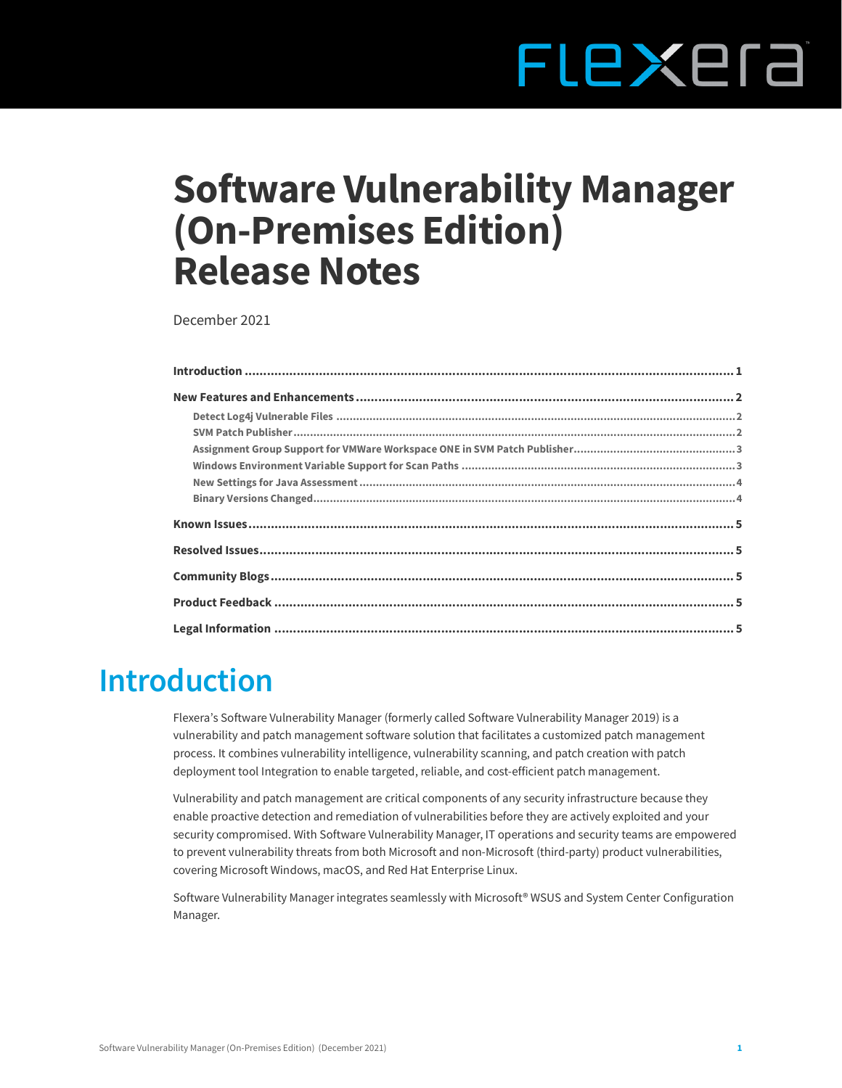# FLEXEra

# **Software Vulnerability Manager (On-Premises Edition) Release Notes**

December 2021

# <span id="page-0-0"></span>**Introduction**

Flexera's Software Vulnerability Manager (formerly called Software Vulnerability Manager 2019) is a vulnerability and patch management software solution that facilitates a customized patch management process. It combines vulnerability intelligence, vulnerability scanning, and patch creation with patch deployment tool Integration to enable targeted, reliable, and cost-efficient patch management.

Vulnerability and patch management are critical components of any security infrastructure because they enable proactive detection and remediation of vulnerabilities before they are actively exploited and your security compromised. With Software Vulnerability Manager, IT operations and security teams are empowered to prevent vulnerability threats from both Microsoft and non-Microsoft (third-party) product vulnerabilities, covering Microsoft Windows, macOS, and Red Hat Enterprise Linux.

Software Vulnerability Manager integrates seamlessly with Microsoft® WSUS and System Center Configuration Manager.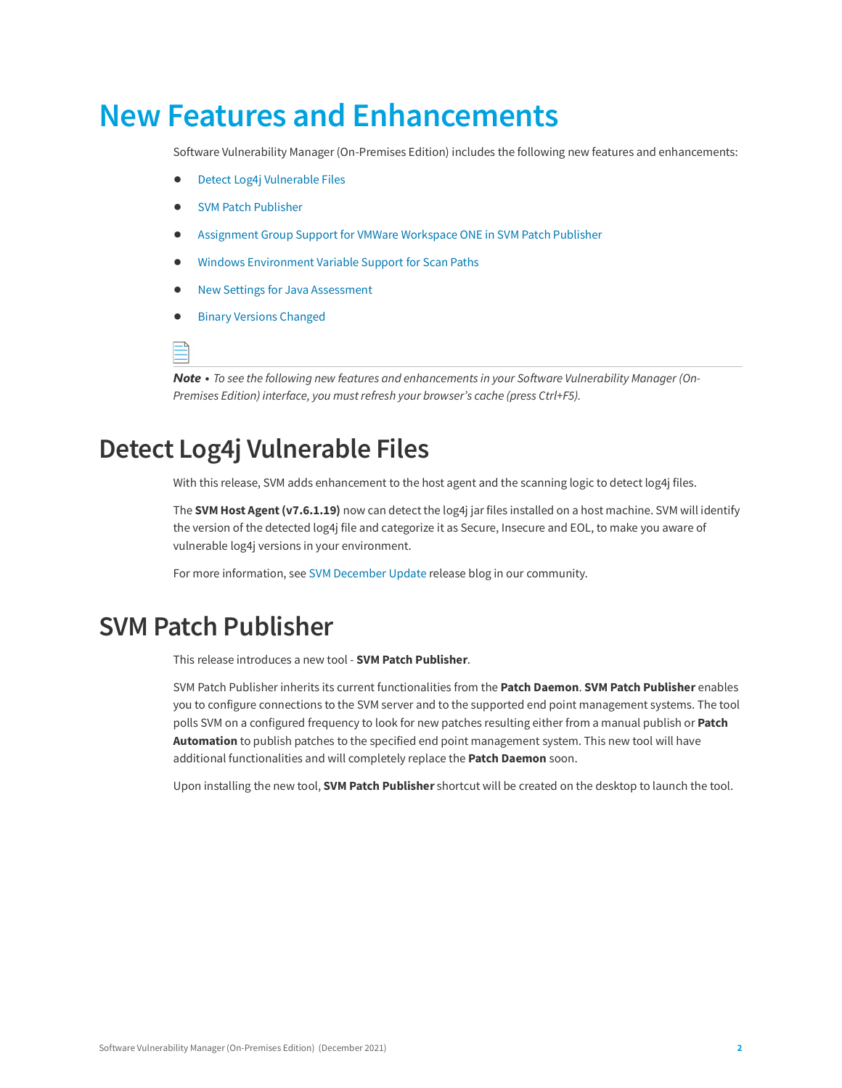# <span id="page-1-0"></span>**New Features and Enhancements**

Software Vulnerability Manager (On-Premises Edition) includes the following new features and enhancements:

- **•** [Detect Log4j Vulnerable Files](#page-1-1)
- **•** [SVM Patch Publisher](#page-1-2)
- **•** [Assignment Group Support for VMWare Workspace ONE in SVM Patch Publisher](#page-2-0)
- **•** [Windows Environment Variable Support for Scan Paths](#page-2-1)
- **•** [New Settings for Java Assessment](#page-3-0)
- **•** [Binary Versions Changed](#page-3-1)

÷.

*Note • To see the following new features and enhancements in your Software Vulnerability Manager (On-Premises Edition) interface, you must refresh your browser's cache (press Ctrl+F5).*

## <span id="page-1-1"></span>**Detect Log4j Vulnerable Files**

With this release, SVM adds enhancement to the host agent and the scanning logic to detect log4j files.

The **SVM Host Agent (v7.6.1.19)** now can detect the log4j jar files installed on a host machine. SVM will identify the version of the detected log4j file and categorize it as Secure, Insecure and EOL, to make you aware of vulnerable log4j versions in your environment.

For more information, see [SVM December Update](https://community.flexera.com/t5/Software-Vulnerability/SVM-December-Update-for-Log4j-Detection/ba-p/218658#M25) release blog in our community.

#### <span id="page-1-2"></span>**SVM Patch Publisher**

This release introduces a new tool - **SVM Patch Publisher**.

SVM Patch Publisher inherits its current functionalities from the **Patch Daemon**. **SVM Patch Publisher** enables you to configure connections to the SVM server and to the supported end point management systems. The tool polls SVM on a configured frequency to look for new patches resulting either from a manual publish or **Patch Automation** to publish patches to the specified end point management system. This new tool will have additional functionalities and will completely replace the **Patch Daemon** soon.

Upon installing the new tool, **SVM Patch Publisher** shortcut will be created on the desktop to launch the tool.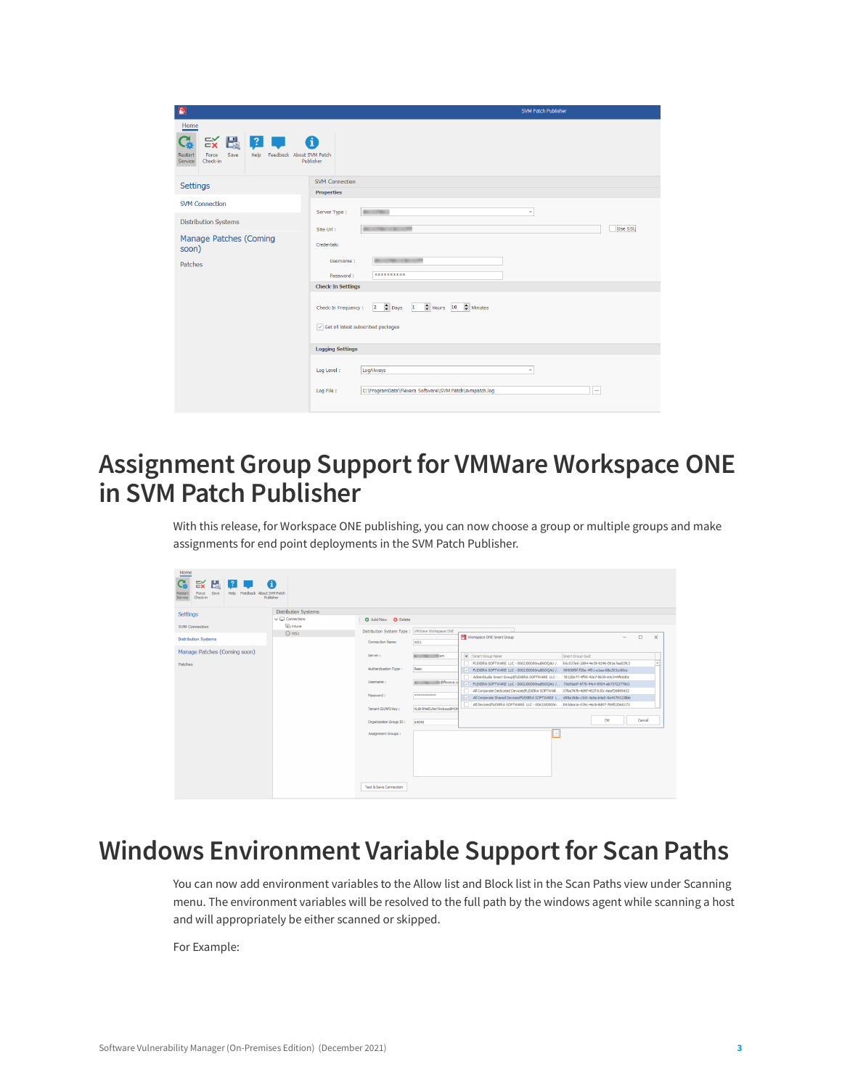| B                                                                                               | <b>SVM Patch Publisher</b>                                                      |
|-------------------------------------------------------------------------------------------------|---------------------------------------------------------------------------------|
| Home                                                                                            |                                                                                 |
| $\approx$ $\mathbb{R}$ ?<br>Save<br>Feedback About SVM Patch<br><b>Restart</b><br>Force<br>Help | A                                                                               |
| Check-in<br>Service                                                                             | Publisher                                                                       |
| <b>Settings</b>                                                                                 | <b>SVM Connection</b>                                                           |
|                                                                                                 | <b>Properties</b>                                                               |
| <b>SVM Connection</b>                                                                           |                                                                                 |
| <b>Distribution Systems</b>                                                                     | Server Type:<br><b>New York</b><br>÷                                            |
|                                                                                                 | Use SSL<br>C. British Mill<br>Site Url :                                        |
| Manage Patches (Coming<br>soon)                                                                 | Credentials:                                                                    |
| Patches                                                                                         | Username:                                                                       |
|                                                                                                 | **********<br>Password:                                                         |
|                                                                                                 | <b>Check-In Settings</b>                                                        |
|                                                                                                 | $2 \div$ Days 1<br>Hours 10 Minutes<br>Check-In Frequency:                      |
|                                                                                                 | Get all latest subscribed packages                                              |
|                                                                                                 | <b>Logging Settings</b>                                                         |
|                                                                                                 | LogAlways<br>Log Level:<br>÷                                                    |
|                                                                                                 | C:\ProgramData\Flexera Software\SVM Patch\svmpatch.log<br>Log File:<br>$\cdots$ |

### <span id="page-2-0"></span>**Assignment Group Support for VMWare Workspace ONE in SVM Patch Publisher**

With this release, for Workspace ONE publishing, you can now choose a group or multiple groups and make assignments for end point deployments in the SVM Patch Publisher.

| Home<br>$\mathbb{R}$ $\mathbb{R}$<br>$\vert$ ? $\vert$ 1<br>G.<br>Feedback About SVM Patch<br>Force<br>Save<br>Restart<br>Help<br>Check-in<br>Service | 6<br>Publisher                |                                                |                               |                                                                                                                                                                                |
|-------------------------------------------------------------------------------------------------------------------------------------------------------|-------------------------------|------------------------------------------------|-------------------------------|--------------------------------------------------------------------------------------------------------------------------------------------------------------------------------|
| <b>Settings</b>                                                                                                                                       | <b>Distribution Systems</b>   |                                                |                               |                                                                                                                                                                                |
|                                                                                                                                                       | $\vee$ $\Box$ Connections     | <b>Q</b> Add New <b>Q</b> Delete               |                               |                                                                                                                                                                                |
| <b>SVM Connection</b>                                                                                                                                 | <b>Qili</b> intune<br>$@$ ws1 | Distribution System Type: WWWare Workspace ONE |                               |                                                                                                                                                                                |
| <b>Distribution Systems</b>                                                                                                                           |                               | Connection Name:                               | WS1                           | Workspace ONE Smart Group<br>$\Box$<br>$\times$<br>$\overline{\phantom{a}}$                                                                                                    |
| Manage Patches (Coming soon)                                                                                                                          |                               | Server:                                        | <b>Britain Market Company</b> | Smart Group Name<br>Smart Group Guid                                                                                                                                           |
| Patches                                                                                                                                               |                               | Authentication Type:                           | Basic                         | FLEXERA SOFTWARE LLC - 0062300000nuB6OOAU / b5c537e6-2d84-4e39-9246-091e7aa02fc3<br>FLEXERA SOFTWARE LLC - 0062300000nuB6OQAU / 99908f8f-f26e-4f01-a1aa-68e293cc99ce<br>IV.    |
|                                                                                                                                                       |                               | Username:                                      | Gflexera.c                    | AdminStudio Smart Group(FLEXERA SOFTWARE LLC - 7d120e77-4f95-42e7-8659-e9c544fe0d0c<br>/ FLEXERA SOFTWARE LLC - 0062300000ruB6OQAU / 73e95a0f-6f76-44c4-8904-ab75723779d1      |
|                                                                                                                                                       |                               | Password:                                      | ***********                   | Al Corporate Dedicated Devices (FLEXERA SOFTWAR 07ba797b-4d9f-452f-b30c-6eaf26995432<br>All Corporate Shared Devices (FLEXERA SOFTWARE L d98a 16de-c3c0-4a9a-b4e0-9a44754138bb |
|                                                                                                                                                       |                               | Tenant ID/API Key:                             | KL6Ir9HeEU9eY0wbzus8HO        | All Devices (FLEXERA SOFTWARE LLC - 0062300000n. b93dea 1e-039c-46c8-8d07-769fc2060173                                                                                         |
|                                                                                                                                                       |                               | Organization Group ID:                         | 64949                         | OK<br>Cancel                                                                                                                                                                   |
|                                                                                                                                                       |                               | Assignment Groups :                            |                               |                                                                                                                                                                                |
|                                                                                                                                                       |                               |                                                |                               |                                                                                                                                                                                |
|                                                                                                                                                       |                               | Test & Save Connection                         |                               |                                                                                                                                                                                |

## <span id="page-2-1"></span>**Windows Environment Variable Support for Scan Paths**

You can now add environment variables to the Allow list and Block list in the Scan Paths view under Scanning menu. The environment variables will be resolved to the full path by the windows agent while scanning a host and will appropriately be either scanned or skipped.

For Example: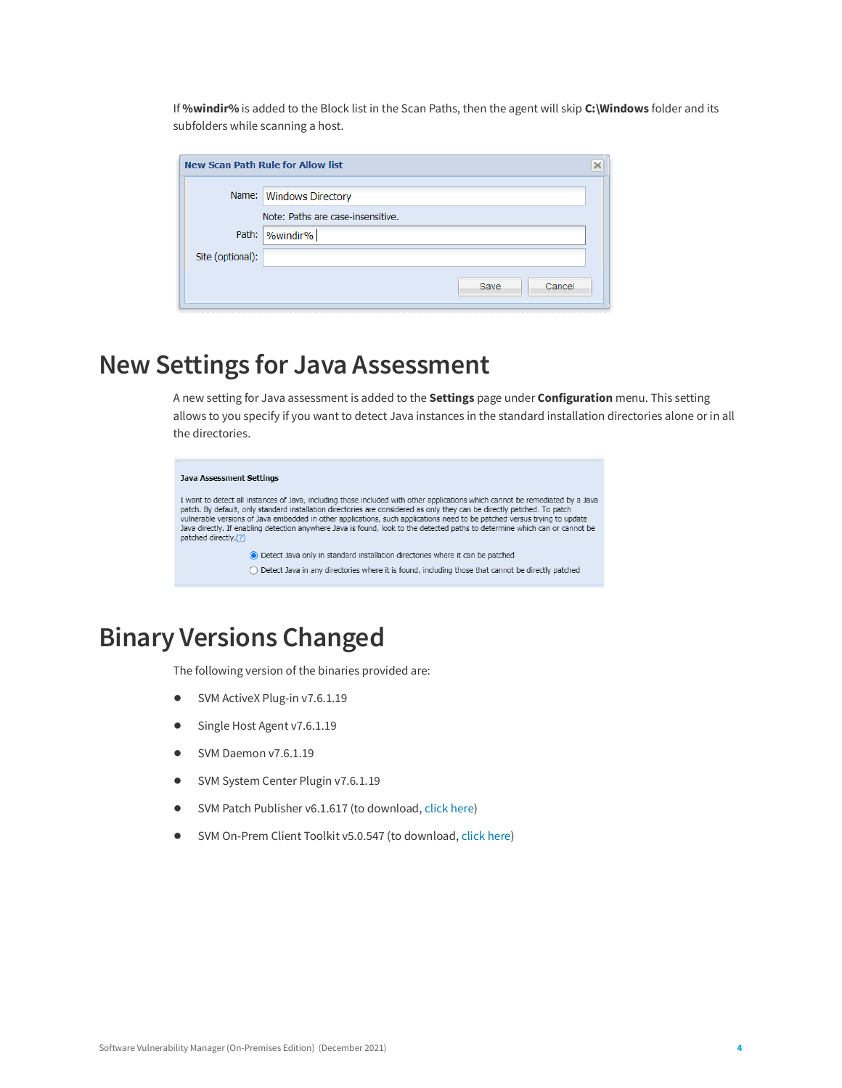If **%windir%** is added to the Block list in the Scan Paths, then the agent will skip **C:\Windows** folder and its subfolders while scanning a host.

|                  | New Scan Path Rule for Allow list |  |
|------------------|-----------------------------------|--|
|                  | Name: Windows Directory           |  |
|                  | Note: Paths are case-insensitive. |  |
|                  | Path:  %windir%                   |  |
| Site (optional): |                                   |  |
|                  | Cancel<br>Save                    |  |

## <span id="page-3-0"></span>**New Settings for Java Assessment**

A new setting for Java assessment is added to the **Settings** page under **Configuration** menu. This setting allows to you specify if you want to detect Java instances in the standard installation directories alone or in all the directories.

#### Java Assessment Settings I want to detect all instances of Java, including those included with other applications which cannot be remediated by a Java patch. By default, only standard installation directories are considered as only they can be directly patched. To patch<br>vulnerable versions of Java embedded in other applications, such applications need to be patched versu Java directly. If enabling detection anywhere Java is found, look to the detected paths to determine which can or cannot be patched directly.(?) ⊙ Detect Java only in standard installation directories where it can be patched  $\bigcirc$  Detect Java in any directories where it is found, including those that cannot be directly patched

## <span id="page-3-1"></span>**Binary Versions Changed**

The following version of the binaries provided are:

- **•** SVM ActiveX Plug-in v7.6.1.19
- **•** Single Host Agent v7.6.1.19
- **•** SVM Daemon v7.6.1.19
- **•** SVM System Center Plugin v7.6.1.19
- **•** SVM Patch Publisher v6.1.617 (to download, [click here\)](https://resources.flexera.com/tools/SVM/SVMPatchPublisher.msi)
- **•** SVM On-Prem Client Toolkit v5.0.547 (to download, [click here\)](https://resources.flexera.com/tools/SVM/SVMClientToolkitInstall.msi)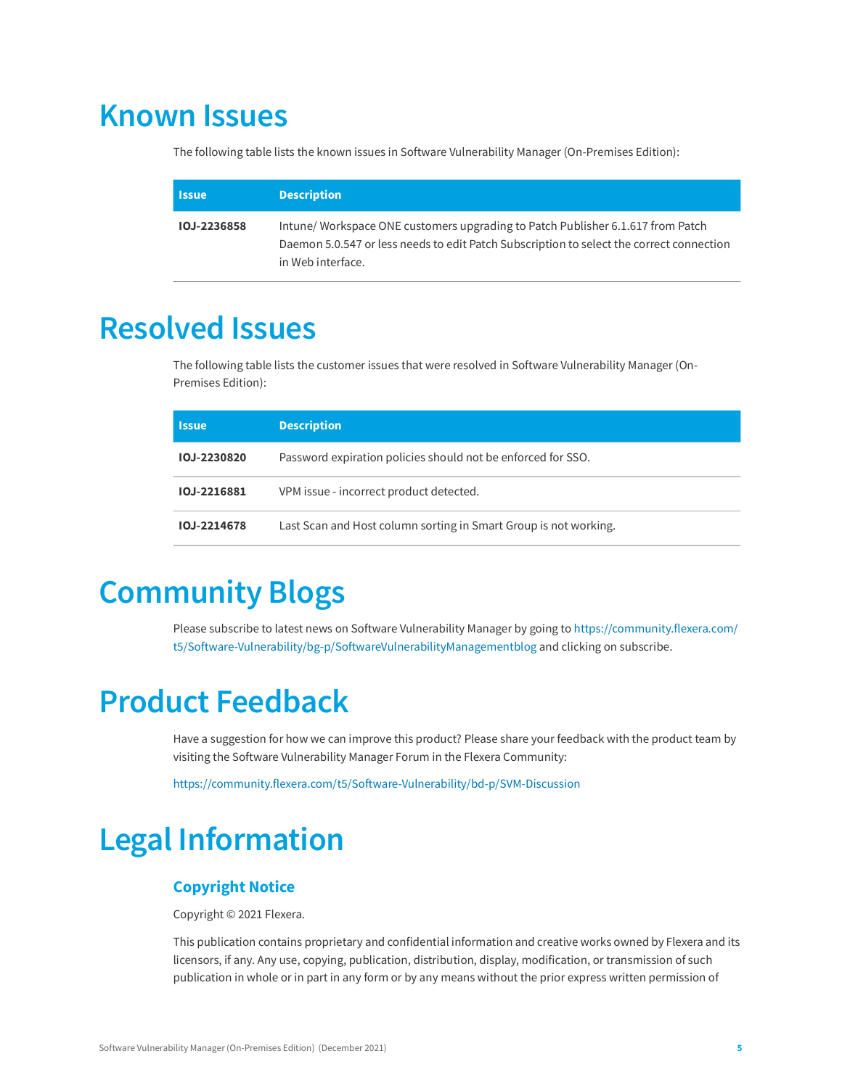# <span id="page-4-0"></span>**Known Issues**

The following table lists the known issues in Software Vulnerability Manager (On-Premises Edition):

| 'Issue             | <b>Description</b>                                                                                                                                                                              |
|--------------------|-------------------------------------------------------------------------------------------------------------------------------------------------------------------------------------------------|
| <b>IOJ-2236858</b> | Intune/Workspace ONE customers upgrading to Patch Publisher 6.1.617 from Patch<br>Daemon 5.0.547 or less needs to edit Patch Subscription to select the correct connection<br>in Web interface. |

# <span id="page-4-1"></span>**Resolved Issues**

The following table lists the customer issues that were resolved in Software Vulnerability Manager (On-Premises Edition):

| <b>Issue</b> | <b>Description</b>                                               |
|--------------|------------------------------------------------------------------|
| IOJ-2230820  | Password expiration policies should not be enforced for SSO.     |
| IOJ-2216881  | VPM issue - incorrect product detected.                          |
| IOJ-2214678  | Last Scan and Host column sorting in Smart Group is not working. |

# <span id="page-4-2"></span>**Community Blogs**

Please subscribe to latest news on Software Vulnerability Manager by going to [https://community.flexera.com/](https://community.flexera.com/t5/Software-Vulnerability/bg-p/SoftwareVulnerabilityManagementblog) [t5/Software-Vulnerability/bg-p/SoftwareVulnerabilityManagementblog](https://community.flexera.com/t5/Software-Vulnerability/bg-p/SoftwareVulnerabilityManagementblog) and clicking on subscribe.

# <span id="page-4-3"></span>**Product Feedback**

Have a suggestion for how we can improve this product? Please share your feedback with the product team by visiting the Software Vulnerability Manager Forum in the Flexera Community:

<https://community.flexera.com/t5/Software-Vulnerability/bd-p/SVM-Discussion>

# <span id="page-4-4"></span>**Legal Information**

#### **Copyright Notice**

Copyright © 2021 Flexera.

This publication contains proprietary and confidential information and creative works owned by Flexera and its licensors, if any. Any use, copying, publication, distribution, display, modification, or transmission of such publication in whole or in part in any form or by any means without the prior express written permission of